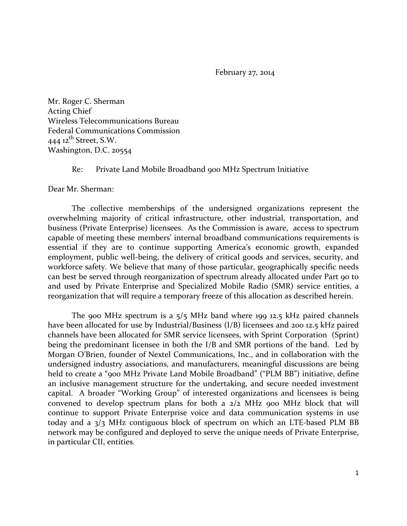February 27, 2014

Mr. Roger C. Sherman Acting Chief Wireless Telecommunications Bureau Federal Communications Commission 444  $12$ <sup>th</sup> Street, S.W. Washington, D.C. 20554

Re: Private Land Mobile Broadband 900 MHz Spectrum Initiative

Dear Mr. Sherman:

The collective memberships of the undersigned organizations represent the overwhelming majority of critical infrastructure, other industrial, transportation, and business (Private Enterprise) licensees. As the Commission is aware, access to spectrum capable of meeting these members' internal broadband communications requirements is essential if they are to continue supporting America's economic growth, expanded employment, public well-being, the delivery of critical goods and services, security, and workforce safety. We believe that many of those particular, geographically specific needs can best be served through reorganization of spectrum already allocated under Part 90 to and used by Private Enterprise and Specialized Mobile Radio (SMR) service entities, a reorganization that will require a temporary freeze of this allocation as described herein.

The 900 MHz spectrum is a 5/5 MHz band where 199 12.5 kHz paired channels have been allocated for use by Industrial/Business (I/B) licensees and 200 12.5 kHz paired channels have been allocated for SMR service licensees, with Sprint Corporation (Sprint) being the predominant licensee in both the I/B and SMR portions of the band. Led by Morgan O'Brien, founder of Nextel Communications, Inc., and in collaboration with the undersigned industry associations, and manufacturers, meaningful discussions are being held to create a "900 MHz Private Land Mobile Broadband" ("PLM BB") initiative, define an inclusive management structure for the undertaking, and secure needed investment capital. A broader "Working Group" of interested organizations and licensees is being convened to develop spectrum plans for both a  $2/2$  MHz 900 MHz block that will continue to support Private Enterprise voice and data communication systems in use today and a 3/3 MHz contiguous block of spectrum on which an LTE-based PLM BB network may be configured and deployed to serve the unique needs of Private Enterprise, in particular CII, entities.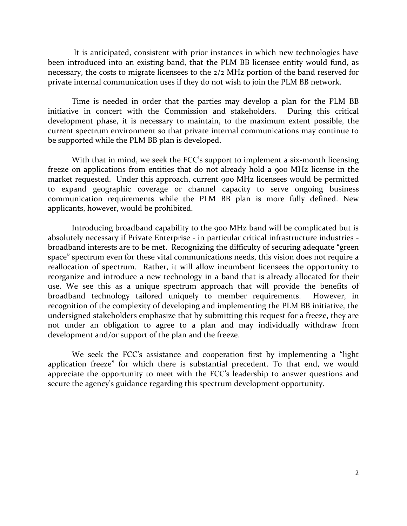It is anticipated, consistent with prior instances in which new technologies have been introduced into an existing band, that the PLM BB licensee entity would fund, as necessary, the costs to migrate licensees to the 2/2 MHz portion of the band reserved for private internal communication uses if they do not wish to join the PLM BB network.

Time is needed in order that the parties may develop a plan for the PLM BB initiative in concert with the Commission and stakeholders. During this critical development phase, it is necessary to maintain, to the maximum extent possible, the current spectrum environment so that private internal communications may continue to be supported while the PLM BB plan is developed.

With that in mind, we seek the FCC's support to implement a six-month licensing freeze on applications from entities that do not already hold a 900 MHz license in the market requested. Under this approach, current 900 MHz licensees would be permitted to expand geographic coverage or channel capacity to serve ongoing business communication requirements while the PLM BB plan is more fully defined. New applicants, however, would be prohibited.

Introducing broadband capability to the 900 MHz band will be complicated but is absolutely necessary if Private Enterprise - in particular critical infrastructure industries broadband interests are to be met. Recognizing the difficulty of securing adequate "green space" spectrum even for these vital communications needs, this vision does not require a reallocation of spectrum. Rather, it will allow incumbent licensees the opportunity to reorganize and introduce a new technology in a band that is already allocated for their use. We see this as a unique spectrum approach that will provide the benefits of broadband technology tailored uniquely to member requirements. However, in recognition of the complexity of developing and implementing the PLM BB initiative, the undersigned stakeholders emphasize that by submitting this request for a freeze, they are not under an obligation to agree to a plan and may individually withdraw from development and/or support of the plan and the freeze.

We seek the FCC's assistance and cooperation first by implementing a "light application freeze" for which there is substantial precedent. To that end, we would appreciate the opportunity to meet with the FCC's leadership to answer questions and secure the agency's guidance regarding this spectrum development opportunity.